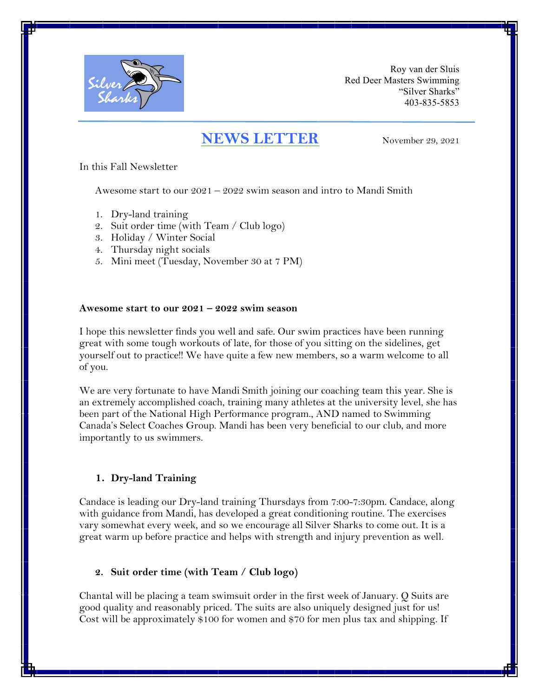

Roy van der Sluis Red Deer Masters Swimming "Silver Sharks" 403-835-5853

# **NEWS LETTER** November 29, 2021

In this Fall Newsletter

Awesome start to our  $2021 - 2022$  swim season and intro to Mandi Smith

- 1. Dry-land training
- 2. Suit order time (with Team / Club logo)
- 3. Holiday / Winter Social
- 4. Thursday night socials
- 5. Mini meet (Tuesday, November 30 at 7 PM)

#### **Awesome start to our 2021 – 2022 swim season**

I hope this newsletter finds you well and safe. Our swim practices have been running great with some tough workouts of late, for those of you sitting on the sidelines, get yourself out to practice!! We have quite a few new members, so a warm welcome to all of you.

We are very fortunate to have Mandi Smith joining our coaching team this year. She is an extremely accomplished coach, training many athletes at the university level, she has been part of the National High Performance program., AND named to Swimming Canada's Select Coaches Group. Mandi has been very beneficial to our club, and more importantly to us swimmers.

#### **1. Dry-land Training**

Candace is leading our Dry-land training Thursdays from 7:00-7:30pm. Candace, along with guidance from Mandi, has developed a great conditioning routine. The exercises vary somewhat every week, and so we encourage all Silver Sharks to come out. It is a great warm up before practice and helps with strength and injury prevention as well.

### **2. Suit order time (with Team / Club logo)**

Chantal will be placing a team swimsuit order in the first week of January. Q Suits are good quality and reasonably priced. The suits are also uniquely designed just for us! Cost will be approximately \$100 for women and \$70 for men plus tax and shipping. If